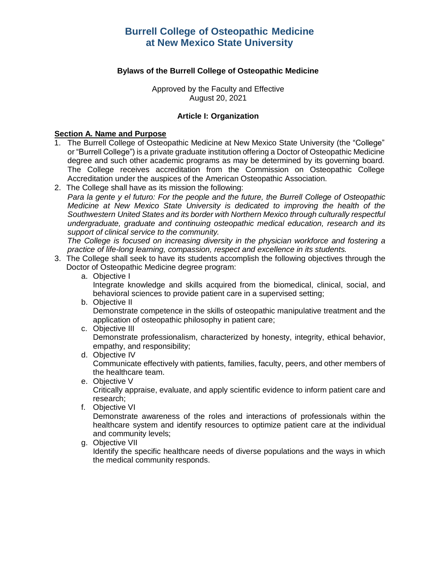# **Bylaws of the Burrell College of Osteopathic Medicine**

Approved by the Faculty and Effective August 20, 2021

# **Article I: Organization**

#### **Section A. Name and Purpose**

- 1. The Burrell College of Osteopathic Medicine at New Mexico State University (the "College" or "Burrell College") is a private graduate institution offering a Doctor of Osteopathic Medicine degree and such other academic programs as may be determined by its governing board. The College receives accreditation from the Commission on Osteopathic College Accreditation under the auspices of the American Osteopathic Association.
- 2. The College shall have as its mission the following:

*Para la gente y el futuro: For the people and the future, the Burrell College of Osteopathic Medicine at New Mexico State University is dedicated to improving the health of the Southwestern United States and its border with Northern Mexico through culturally respectful undergraduate, graduate and continuing osteopathic medical education, research and its support of clinical service to the community.*

*The College is focused on increasing diversity in the physician workforce and fostering a practice of life-long learning, compassion, respect and excellence in its students.*

- 3. The College shall seek to have its students accomplish the following objectives through the Doctor of Osteopathic Medicine degree program:
	- a. Objective I

Integrate knowledge and skills acquired from the biomedical, clinical, social, and behavioral sciences to provide patient care in a supervised setting;

b. Objective II

Demonstrate competence in the skills of osteopathic manipulative treatment and the application of osteopathic philosophy in patient care;

c. Objective III

Demonstrate professionalism, characterized by honesty, integrity, ethical behavior, empathy, and responsibility;

d. Objective IV

Communicate effectively with patients, families, faculty, peers, and other members of the healthcare team.

e. Objective V

Critically appraise, evaluate, and apply scientific evidence to inform patient care and research;

f. Objective VI

Demonstrate awareness of the roles and interactions of professionals within the healthcare system and identify resources to optimize patient care at the individual and community levels;

g. Objective VII

Identify the specific healthcare needs of diverse populations and the ways in which the medical community responds.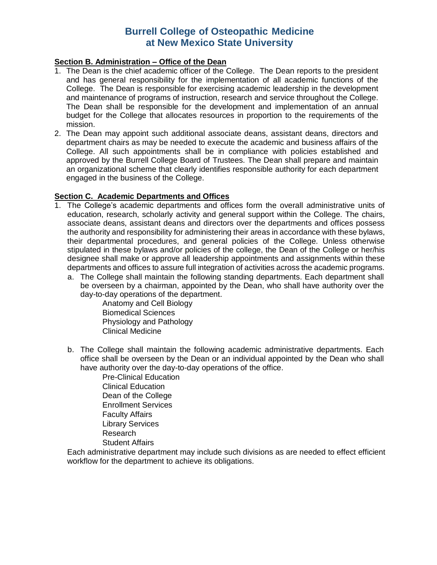# **Section B. Administration – Office of the Dean**

- 1. The Dean is the chief academic officer of the College. The Dean reports to the president and has general responsibility for the implementation of all academic functions of the College. The Dean is responsible for exercising academic leadership in the development and maintenance of programs of instruction, research and service throughout the College. The Dean shall be responsible for the development and implementation of an annual budget for the College that allocates resources in proportion to the requirements of the mission.
- 2. The Dean may appoint such additional associate deans, assistant deans, directors and department chairs as may be needed to execute the academic and business affairs of the College. All such appointments shall be in compliance with policies established and approved by the Burrell College Board of Trustees. The Dean shall prepare and maintain an organizational scheme that clearly identifies responsible authority for each department engaged in the business of the College.

### **Section C. Academic Departments and Offices**

- 1. The College's academic departments and offices form the overall administrative units of education, research, scholarly activity and general support within the College. The chairs, associate deans, assistant deans and directors over the departments and offices possess the authority and responsibility for administering their areas in accordance with these bylaws, their departmental procedures, and general policies of the College. Unless otherwise stipulated in these bylaws and/or policies of the college, the Dean of the College or her/his designee shall make or approve all leadership appointments and assignments within these departments and offices to assure full integration of activities across the academic programs.
	- a. The College shall maintain the following standing departments. Each department shall be overseen by a chairman, appointed by the Dean, who shall have authority over the day-to-day operations of the department.

Anatomy and Cell Biology Biomedical Sciences Physiology and Pathology Clinical Medicine

b. The College shall maintain the following academic administrative departments. Each office shall be overseen by the Dean or an individual appointed by the Dean who shall have authority over the day-to-day operations of the office.

Pre-Clinical Education Clinical Education Dean of the College Enrollment Services Faculty Affairs Library Services Research Student Affairs

Each administrative department may include such divisions as are needed to effect efficient workflow for the department to achieve its obligations.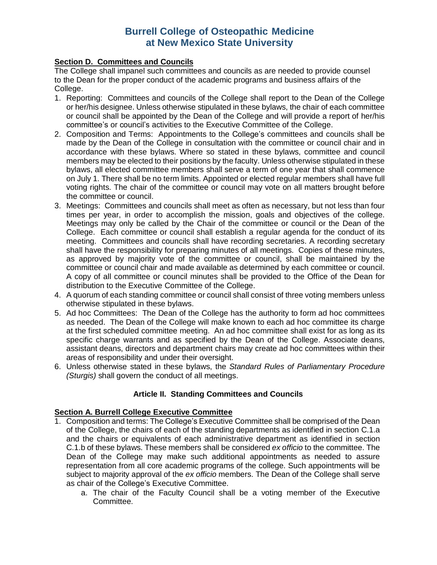# **Section D. Committees and Councils**

The College shall impanel such committees and councils as are needed to provide counsel to the Dean for the proper conduct of the academic programs and business affairs of the College.

- 1. Reporting: Committees and councils of the College shall report to the Dean of the College or her/his designee. Unless otherwise stipulated in these bylaws, the chair of each committee or council shall be appointed by the Dean of the College and will provide a report of her/his committee's or council's activities to the Executive Committee of the College.
- 2. Composition and Terms: Appointments to the College's committees and councils shall be made by the Dean of the College in consultation with the committee or council chair and in accordance with these bylaws. Where so stated in these bylaws, committee and council members may be elected to their positions by the faculty. Unless otherwise stipulated in these bylaws, all elected committee members shall serve a term of one year that shall commence on July 1. There shall be no term limits. Appointed or elected regular members shall have full voting rights. The chair of the committee or council may vote on all matters brought before the committee or council.
- 3. Meetings: Committees and councils shall meet as often as necessary, but not less than four times per year, in order to accomplish the mission, goals and objectives of the college. Meetings may only be called by the Chair of the committee or council or the Dean of the College. Each committee or council shall establish a regular agenda for the conduct of its meeting. Committees and councils shall have recording secretaries. A recording secretary shall have the responsibility for preparing minutes of all meetings. Copies of these minutes, as approved by majority vote of the committee or council, shall be maintained by the committee or council chair and made available as determined by each committee or council. A copy of all committee or council minutes shall be provided to the Office of the Dean for distribution to the Executive Committee of the College.
- 4. A quorum of each standing committee or council shall consist of three voting members unless otherwise stipulated in these bylaws.
- 5. Ad hoc Committees: The Dean of the College has the authority to form ad hoc committees as needed. The Dean of the College will make known to each ad hoc committee its charge at the first scheduled committee meeting. An ad hoc committee shall exist for as long as its specific charge warrants and as specified by the Dean of the College. Associate deans, assistant deans, directors and department chairs may create ad hoc committees within their areas of responsibility and under their oversight.
- 6. Unless otherwise stated in these bylaws, the *Standard Rules of Parliamentary Procedure (Sturgis)* shall govern the conduct of all meetings.

# **Article II. Standing Committees and Councils**

### **Section A. Burrell College Executive Committee**

- 1. Composition and terms: The College's Executive Committee shall be comprised of the Dean of the College, the chairs of each of the standing departments as identified in section C.1.a and the chairs or equivalents of each administrative department as identified in section C.1.b of these bylaws. These members shall be considered *ex officio* to the committee. The Dean of the College may make such additional appointments as needed to assure representation from all core academic programs of the college. Such appointments will be subject to majority approval of the *ex officio* members. The Dean of the College shall serve as chair of the College's Executive Committee.
	- a. The chair of the Faculty Council shall be a voting member of the Executive Committee.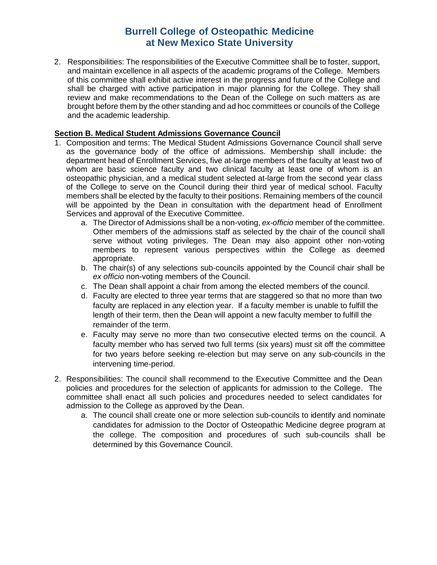2. Responsibilities: The responsibilities of the Executive Committee shall be to foster, support, and maintain excellence in all aspects of the academic programs of the College. Members of this committee shall exhibit active interest in the progress and future of the College and shall be charged with active participation in major planning for the College. They shall review and make recommendations to the Dean of the College on such matters as are brought before them by the other standing and ad hoc committees or councils of the College and the academic leadership.

# **Section B. Medical Student Admissions Governance Council**

- 1. Composition and terms: The Medical Student Admissions Governance Council shall serve as the governance body of the office of admissions. Membership shall include: the department head of Enrollment Services, five at-large members of the faculty at least two of whom are basic science faculty and two clinical faculty at least one of whom is an osteopathic physician, and a medical student selected at-large from the second year class of the College to serve on the Council during their third year of medical school. Faculty members shall be elected by the faculty to their positions. Remaining members of the council will be appointed by the Dean in consultation with the department head of Enrollment Services and approval of the Executive Committee.
	- a. The Director of Admissions shall be a non-voting, *ex-officio* member of the committee. Other members of the admissions staff as selected by the chair of the council shall serve without voting privileges. The Dean may also appoint other non-voting members to represent various perspectives within the College as deemed appropriate.
	- b. The chair(s) of any selections sub-councils appointed by the Council chair shall be *ex officio* non-voting members of the Council.
	- c. The Dean shall appoint a chair from among the elected members of the council.
	- d. Faculty are elected to three year terms that are staggered so that no more than two faculty are replaced in any election year. If a faculty member is unable to fulfill the length of their term, then the Dean will appoint a new faculty member to fulfill the remainder of the term.
	- e. Faculty may serve no more than two consecutive elected terms on the council. A faculty member who has served two full terms (six years) must sit off the committee for two years before seeking re-election but may serve on any sub-councils in the intervening time-period.
- 2. Responsibilities: The council shall recommend to the Executive Committee and the Dean policies and procedures for the selection of applicants for admission to the College. The committee shall enact all such policies and procedures needed to select candidates for admission to the College as approved by the Dean.
	- a. The council shall create one or more selection sub-councils to identify and nominate candidates for admission to the Doctor of Osteopathic Medicine degree program at the college. The composition and procedures of such sub-councils shall be determined by this Governance Council.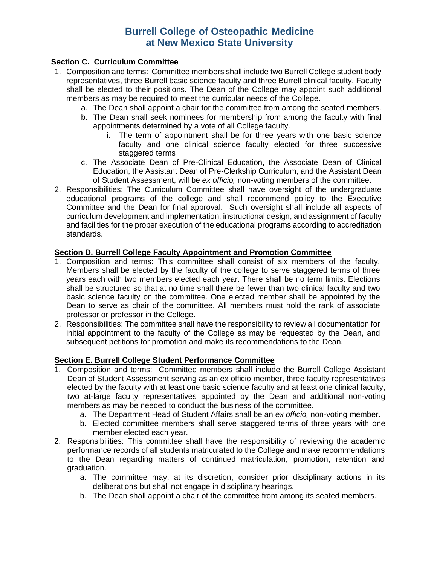# **Section C. Curriculum Committee**

- 1. Composition and terms: Committee members shall include two Burrell College student body representatives, three Burrell basic science faculty and three Burrell clinical faculty. Faculty shall be elected to their positions. The Dean of the College may appoint such additional members as may be required to meet the curricular needs of the College.
	- a. The Dean shall appoint a chair for the committee from among the seated members.
	- b. The Dean shall seek nominees for membership from among the faculty with final appointments determined by a vote of all College faculty.
		- i. The term of appointment shall be for three years with one basic science faculty and one clinical science faculty elected for three successive staggered terms
	- c. The Associate Dean of Pre-Clinical Education, the Associate Dean of Clinical Education, the Assistant Dean of Pre-Clerkship Curriculum, and the Assistant Dean of Student Assessment, will be *ex officio,* non-voting members of the committee.
- 2. Responsibilities: The Curriculum Committee shall have oversight of the undergraduate educational programs of the college and shall recommend policy to the Executive Committee and the Dean for final approval. Such oversight shall include all aspects of curriculum development and implementation, instructional design, and assignment of faculty and facilities for the proper execution of the educational programs according to accreditation standards.

# **Section D. Burrell College Faculty Appointment and Promotion Committee**

- 1. Composition and terms: This committee shall consist of six members of the faculty. Members shall be elected by the faculty of the college to serve staggered terms of three years each with two members elected each year. There shall be no term limits. Elections shall be structured so that at no time shall there be fewer than two clinical faculty and two basic science faculty on the committee. One elected member shall be appointed by the Dean to serve as chair of the committee. All members must hold the rank of associate professor or professor in the College.
- 2. Responsibilities: The committee shall have the responsibility to review all documentation for initial appointment to the faculty of the College as may be requested by the Dean, and subsequent petitions for promotion and make its recommendations to the Dean.

### **Section E. Burrell College Student Performance Committee**

- 1. Composition and terms: Committee members shall include the Burrell College Assistant Dean of Student Assessment serving as an ex officio member, three faculty representatives elected by the faculty with at least one basic science faculty and at least one clinical faculty, two at-large faculty representatives appointed by the Dean and additional non-voting members as may be needed to conduct the business of the committee.
	- a. The Department Head of Student Affairs shall be an *ex officio,* non-voting member.
	- b. Elected committee members shall serve staggered terms of three years with one member elected each year.
- 2. Responsibilities: This committee shall have the responsibility of reviewing the academic performance records of all students matriculated to the College and make recommendations to the Dean regarding matters of continued matriculation, promotion, retention and graduation.
	- a. The committee may, at its discretion, consider prior disciplinary actions in its deliberations but shall not engage in disciplinary hearings.
	- b. The Dean shall appoint a chair of the committee from among its seated members.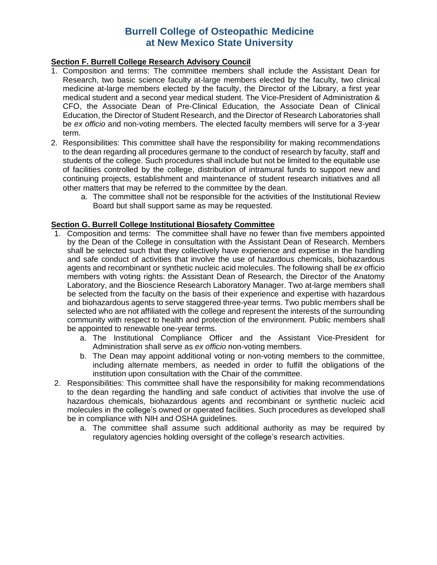### **Section F. Burrell College Research Advisory Council**

- 1. Composition and terms: The committee members shall include the Assistant Dean for Research, two basic science faculty at-large members elected by the faculty, two clinical medicine at-large members elected by the faculty, the Director of the Library, a first year medical student and a second year medical student. The Vice-President of Administration & CFO, the Associate Dean of Pre-Clinical Education*,* the Associate Dean of Clinical Education, the Director of Student Research, and the Director of Research Laboratories shall be *ex officio* and non-voting members. The elected faculty members will serve for a 3-year term.
- 2. Responsibilities: This committee shall have the responsibility for making recommendations to the dean regarding all procedures germane to the conduct of research by faculty, staff and students of the college. Such procedures shall include but not be limited to the equitable use of facilities controlled by the college, distribution of intramural funds to support new and continuing projects, establishment and maintenance of student research initiatives and all other matters that may be referred to the committee by the dean.
	- a. The committee shall not be responsible for the activities of the Institutional Review Board but shall support same as may be requested.

#### **Section G. Burrell College Institutional Biosafety Committee**

- 1. Composition and terms: The committee shall have no fewer than five members appointed by the Dean of the College in consultation with the Assistant Dean of Research. Members shall be selected such that they collectively have experience and expertise in the handling and safe conduct of activities that involve the use of hazardous chemicals, biohazardous agents and recombinant or synthetic nucleic acid molecules. The following shall be *ex* officio members with voting rights: the Assistant Dean of Research, the Director of the Anatomy Laboratory, and the Bioscience Research Laboratory Manager. Two at-large members shall be selected from the faculty on the basis of their experience and expertise with hazardous and biohazardous agents to serve staggered three-year terms. Two public members shall be selected who are not affiliated with the college and represent the interests of the surrounding community with respect to health and protection of the environment. Public members shall be appointed to renewable one-year terms.
	- a. The Institutional Compliance Officer and the Assistant Vice-President for Administration shall serve as *ex officio* non-voting members.
	- b. The Dean may appoint additional voting or non-voting members to the committee, including alternate members, as needed in order to fulfill the obligations of the institution upon consultation with the Chair of the committee.
- 2. Responsibilities: This committee shall have the responsibility for making recommendations to the dean regarding the handling and safe conduct of activities that involve the use of hazardous chemicals, biohazardous agents and recombinant or synthetic nucleic acid molecules in the college's owned or operated facilities. Such procedures as developed shall be in compliance with NIH and OSHA guidelines.
	- a. The committee shall assume such additional authority as may be required by regulatory agencies holding oversight of the college's research activities.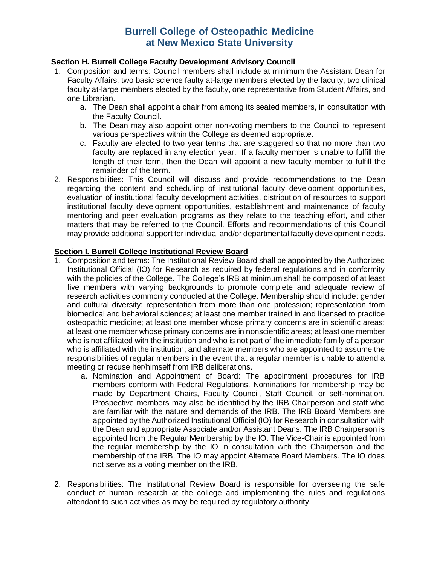### **Section H. Burrell College Faculty Development Advisory Council**

- 1. Composition and terms: Council members shall include at minimum the Assistant Dean for Faculty Affairs, two basic science faulty at-large members elected by the faculty, two clinical faculty at-large members elected by the faculty, one representative from Student Affairs, and one Librarian.
	- a. The Dean shall appoint a chair from among its seated members, in consultation with the Faculty Council.
	- b. The Dean may also appoint other non-voting members to the Council to represent various perspectives within the College as deemed appropriate.
	- c. Faculty are elected to two year terms that are staggered so that no more than two faculty are replaced in any election year. If a faculty member is unable to fulfill the length of their term, then the Dean will appoint a new faculty member to fulfill the remainder of the term.
- 2. Responsibilities: This Council will discuss and provide recommendations to the Dean regarding the content and scheduling of institutional faculty development opportunities, evaluation of institutional faculty development activities, distribution of resources to support institutional faculty development opportunities, establishment and maintenance of faculty mentoring and peer evaluation programs as they relate to the teaching effort, and other matters that may be referred to the Council. Efforts and recommendations of this Council may provide additional support for individual and/or departmental faculty development needs.

# **Section I. Burrell College Institutional Review Board**

- 1. Composition and terms: The Institutional Review Board shall be appointed by the Authorized Institutional Official (IO) for Research as required by federal regulations and in conformity with the policies of the College. The College's IRB at minimum shall be composed of at least five members with varying backgrounds to promote complete and adequate review of research activities commonly conducted at the College. Membership should include: gender and cultural diversity; representation from more than one profession; representation from biomedical and behavioral sciences; at least one member trained in and licensed to practice osteopathic medicine; at least one member whose primary concerns are in scientific areas; at least one member whose primary concerns are in nonscientific areas; at least one member who is not affiliated with the institution and who is not part of the immediate family of a person who is affiliated with the institution; and alternate members who are appointed to assume the responsibilities of regular members in the event that a regular member is unable to attend a meeting or recuse her/himself from IRB deliberations.
	- a. Nomination and Appointment of Board: The appointment procedures for IRB members conform with Federal Regulations. Nominations for membership may be made by Department Chairs, Faculty Council, Staff Council, or self-nomination. Prospective members may also be identified by the IRB Chairperson and staff who are familiar with the nature and demands of the IRB. The IRB Board Members are appointed by the Authorized Institutional Official (IO) for Research in consultation with the Dean and appropriate Associate and/or Assistant Deans. The IRB Chairperson is appointed from the Regular Membership by the IO. The Vice-Chair is appointed from the regular membership by the IO in consultation with the Chairperson and the membership of the IRB. The IO may appoint Alternate Board Members. The IO does not serve as a voting member on the IRB.
- 2. Responsibilities: The Institutional Review Board is responsible for overseeing the safe conduct of human research at the college and implementing the rules and regulations attendant to such activities as may be required by regulatory authority.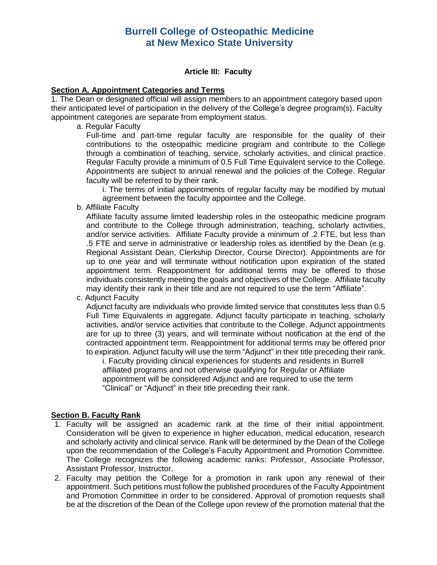#### **Article III: Faculty**

#### **Section A. Appointment Categories and Terms**

1. The Dean or designated official will assign members to an appointment category based upon their anticipated level of participation in the delivery of the College's degree program(s). Faculty appointment categories are separate from employment status.

a. Regular Faculty

Full-time and part-time regular faculty are responsible for the quality of their contributions to the osteopathic medicine program and contribute to the College through a combination of teaching, service, scholarly activities, and clinical practice. Regular Faculty provide a minimum of 0.5 Full Time Equivalent service to the College. Appointments are subject to annual renewal and the policies of the College. Regular faculty will be referred to by their rank.

i. The terms of initial appointments of regular faculty may be modified by mutual agreement between the faculty appointee and the College.

b. Affiliate Faculty

Affiliate faculty assume limited leadership roles in the osteopathic medicine program and contribute to the College through administration, teaching, scholarly activities, and/or service activities. Affiliate Faculty provide a minimum of .2 FTE, but less than .5 FTE and serve in administrative or leadership roles as identified by the Dean (e.g. Regional Assistant Dean, Clerkship Director, Course Director). Appointments are for up to one year and will terminate without notification upon expiration of the stated appointment term. Reappointment for additional terms may be offered to those individuals consistently meeting the goals and objectives of the College. Affiliate faculty may identify their rank in their title and are not required to use the term "Affiliate".

c. Adjunct Faculty

Adjunct faculty are individuals who provide limited service that constitutes less than 0.5 Full Time Equivalents in aggregate. Adjunct faculty participate in teaching, scholarly activities, and/or service activities that contribute to the College. Adjunct appointments are for up to three (3) years, and will terminate without notification at the end of the contracted appointment term. Reappointment for additional terms may be offered prior to expiration. Adjunct faculty will use the term "Adjunct" in their title preceding their rank.

i. Faculty providing clinical experiences for students and residents in Burrell affiliated programs and not otherwise qualifying for Regular or Affiliate appointment will be considered Adjunct and are required to use the term "Clinical" or "Adjunct" in their title preceding their rank.

### **Section B. Faculty Rank**

- 1. Faculty will be assigned an academic rank at the time of their initial appointment. Consideration will be given to experience in higher education, medical education, research and scholarly activity and clinical service. Rank will be determined by the Dean of the College upon the recommendation of the College's Faculty Appointment and Promotion Committee. The College recognizes the following academic ranks: Professor, Associate Professor, Assistant Professor, Instructor.
- 2. Faculty may petition the College for a promotion in rank upon any renewal of their appointment. Such petitions must follow the published procedures of the Faculty Appointment and Promotion Committee in order to be considered. Approval of promotion requests shall be at the discretion of the Dean of the College upon review of the promotion material that the